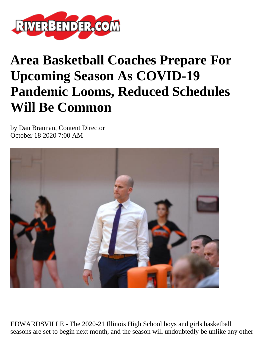

## **Area Basketball Coaches Prepare For Upcoming Season As COVID-19 Pandemic Looms, Reduced Schedules Will Be Common**

by Dan Brannan, Content Director October 18 2020 7:00 AM



EDWARDSVILLE - The 2020-21 Illinois High School boys and girls basketball seasons are set to begin next month, and the season will undoubtedly be unlike any other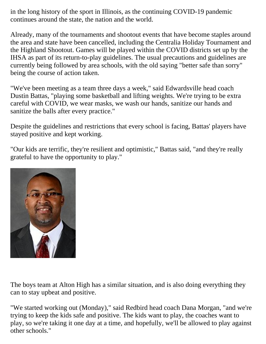in the long history of the sport in Illinois, as the continuing COVID-19 pandemic continues around the state, the nation and the world.

Already, many of the tournaments and shootout events that have become staples around the area and state have been cancelled, including the Centralia Holiday Tournament and the Highland Shootout. Games will be played within the COVID districts set up by the IHSA as part of its return-to-play guidelines. The usual precautions and guidelines are currently being followed by area schools, with the old saying "better safe than sorry" being the course of action taken.

"We've been meeting as a team three days a week," said Edwardsville head coach Dustin Battas, "playing some basketball and lifting weights. We're trying to be extra careful with COVID, we wear masks, we wash our hands, sanitize our hands and sanitize the balls after every practice."

Despite the guidelines and restrictions that every school is facing, Battas' players have stayed positive and kept working.

"Our kids are terrific, they're resilient and optimistic," Battas said, "and they're really grateful to have the opportunity to play."



The boys team at Alton High has a similar situation, and is also doing everything they can to stay upbeat and positive.

"We started working out (Monday)," said Redbird head coach Dana Morgan, "and we're trying to keep the kids safe and positive. The kids want to play, the coaches want to play, so we're taking it one day at a time, and hopefully, we'll be allowed to play against other schools."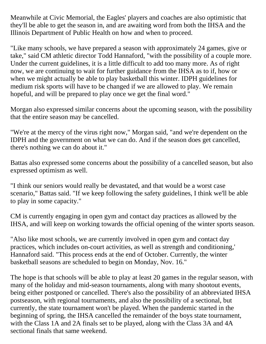Meanwhile at Civic Memorial, the Eagles' players and coaches are also optimistic that they'll be able to get the season in, and are awaiting word from both the IHSA and the Illinois Department of Public Health on how and when to proceed.

"Like many schools, we have prepared a season with approximately 24 games, give or take," said CM athletic director Todd Hannaford, "with the possibility of a couple more. Under the current guidelines, it is a little difficult to add too many more. As of right now, we are continuing to wait for further guidance from the IHSA as to if, how or when we might actually be able to play basketball this winter. IDPH guidelines for medium risk sports will have to be changed if we are allowed to play. We remain hopeful, and will be prepared to play once we get the final word."

Morgan also expressed similar concerns about the upcoming season, with the possibility that the entire season may be cancelled.

"We're at the mercy of the virus right now," Morgan said, "and we're dependent on the IDPH and the government on what we can do. And if the season does get cancelled, there's nothing we can do about it."

Battas also expressed some concerns about the possibility of a cancelled season, but also expressed optimism as well.

"I think our seniors would really be devastated, and that would be a worst case scenario," Battas said. "If we keep following the safety guidelines, I think we'll be able to play in some capacity."

CM is currently engaging in open gym and contact day practices as allowed by the IHSA, and will keep on working towards the official opening of the winter sports season.

"Also like most schools, we are currently involved in open gym and contact day practices, which includes on-court activities, as well as strength and conditioning,' Hannaford said. "This process ends at the end of October. Currently, the winter basketball seasons are scheduled to begin on Monday, Nov. 16."

The hope is that schools will be able to play at least 20 games in the regular season, with many of the holiday and mid-season tournaments, along with many shootout events, being either postponed or cancelled. There's also the possibility of an abbreviated IHSA postseason, with regional tournaments, and also the possibility of a sectional, but currently, the state tournament won't be played. When the pandemic started in the beginning of spring, the IHSA cancelled the remainder of the boys state tournament, with the Class 1A and 2A finals set to be played, along with the Class 3A and 4A sectional finals that same weekend.